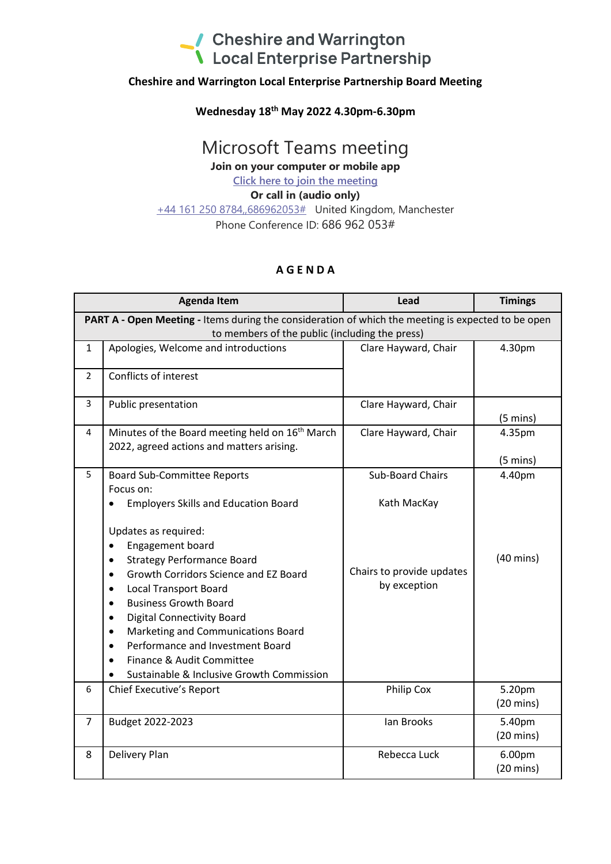## Cheshire and Warrington<br>
Local Enterprise Partnership

#### **Cheshire and Warrington Local Enterprise Partnership Board Meeting**

#### **Wednesday 18 th May 2022 4.30pm-6.30pm**

### Microsoft Teams meeting

**Join on your computer or mobile app**

**Click here to join the meeting**

#### **Or call in (audio only)**

+44 161 250 8784,,686962053# United Kingdom, Manchester Phone Conference ID: 686 962 053#

#### **A G E N D A**

| <b>Agenda Item</b>                                                                                                                                   |                                                                                                                                                                                                                                                                                                                                                                                                                                                                                                                                                                 | Lead                                                                                | <b>Timings</b>                                      |  |
|------------------------------------------------------------------------------------------------------------------------------------------------------|-----------------------------------------------------------------------------------------------------------------------------------------------------------------------------------------------------------------------------------------------------------------------------------------------------------------------------------------------------------------------------------------------------------------------------------------------------------------------------------------------------------------------------------------------------------------|-------------------------------------------------------------------------------------|-----------------------------------------------------|--|
| PART A - Open Meeting - Items during the consideration of which the meeting is expected to be open<br>to members of the public (including the press) |                                                                                                                                                                                                                                                                                                                                                                                                                                                                                                                                                                 |                                                                                     |                                                     |  |
| $\mathbf{1}$                                                                                                                                         | Apologies, Welcome and introductions                                                                                                                                                                                                                                                                                                                                                                                                                                                                                                                            | Clare Hayward, Chair                                                                | 4.30pm                                              |  |
| $\overline{2}$                                                                                                                                       | Conflicts of interest                                                                                                                                                                                                                                                                                                                                                                                                                                                                                                                                           |                                                                                     |                                                     |  |
| 3                                                                                                                                                    | Public presentation                                                                                                                                                                                                                                                                                                                                                                                                                                                                                                                                             | Clare Hayward, Chair                                                                | $(5 \text{ mins})$                                  |  |
| 4                                                                                                                                                    | Minutes of the Board meeting held on 16 <sup>th</sup> March<br>2022, agreed actions and matters arising.                                                                                                                                                                                                                                                                                                                                                                                                                                                        | Clare Hayward, Chair                                                                | 4.35pm                                              |  |
| 5                                                                                                                                                    | <b>Board Sub-Committee Reports</b><br>Focus on:<br><b>Employers Skills and Education Board</b><br>Updates as required:<br>Engagement board<br>$\bullet$<br><b>Strategy Performance Board</b><br>Growth Corridors Science and EZ Board<br>$\bullet$<br><b>Local Transport Board</b><br>$\bullet$<br><b>Business Growth Board</b><br><b>Digital Connectivity Board</b><br>$\bullet$<br>Marketing and Communications Board<br>$\bullet$<br>Performance and Investment Board<br>$\bullet$<br>Finance & Audit Committee<br>Sustainable & Inclusive Growth Commission | <b>Sub-Board Chairs</b><br>Kath MacKay<br>Chairs to provide updates<br>by exception | $(5 \text{ mins})$<br>4.40pm<br>$(40 \text{ mins})$ |  |
| 6                                                                                                                                                    | Chief Executive's Report                                                                                                                                                                                                                                                                                                                                                                                                                                                                                                                                        | Philip Cox                                                                          | 5.20pm<br>$(20 \text{ mins})$                       |  |
| $\overline{7}$                                                                                                                                       | Budget 2022-2023                                                                                                                                                                                                                                                                                                                                                                                                                                                                                                                                                | lan Brooks                                                                          | 5.40pm<br>$(20 \text{ mins})$                       |  |
| 8                                                                                                                                                    | Delivery Plan                                                                                                                                                                                                                                                                                                                                                                                                                                                                                                                                                   | Rebecca Luck                                                                        | 6.00pm<br>$(20 \text{ mins})$                       |  |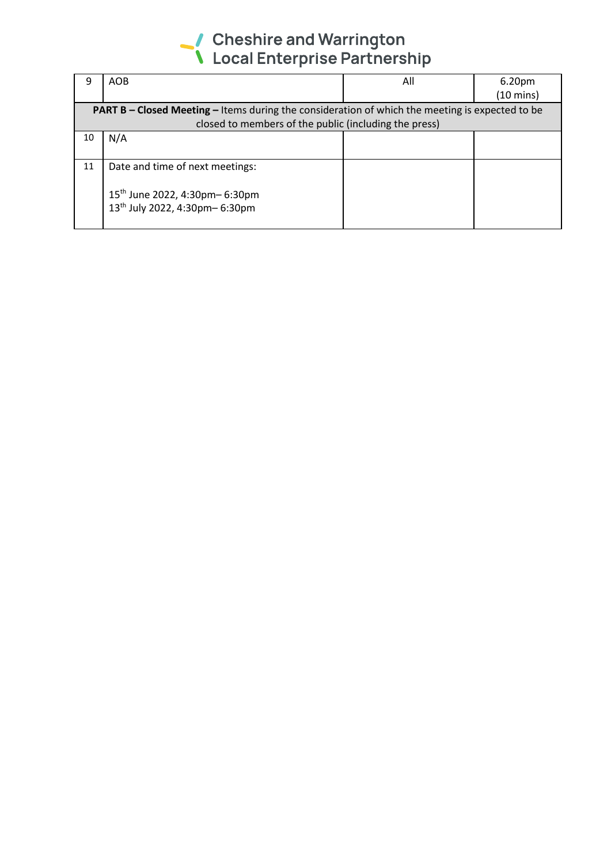# Cheshire and Warrington<br>
Local Enterprise Partnership

|                                                                                                        | <b>AOB</b>                                | All | 6.20 <sub>pm</sub>  |  |
|--------------------------------------------------------------------------------------------------------|-------------------------------------------|-----|---------------------|--|
|                                                                                                        |                                           |     | $(10 \text{ mins})$ |  |
| <b>PART B – Closed Meeting – Items during the consideration of which the meeting is expected to be</b> |                                           |     |                     |  |
| closed to members of the public (including the press)                                                  |                                           |     |                     |  |
| 10                                                                                                     | N/A                                       |     |                     |  |
|                                                                                                        |                                           |     |                     |  |
| 11                                                                                                     | Date and time of next meetings:           |     |                     |  |
|                                                                                                        |                                           |     |                     |  |
|                                                                                                        | 15 <sup>th</sup> June 2022, 4:30pm-6:30pm |     |                     |  |
|                                                                                                        | 13th July 2022, 4:30pm-6:30pm             |     |                     |  |
|                                                                                                        |                                           |     |                     |  |